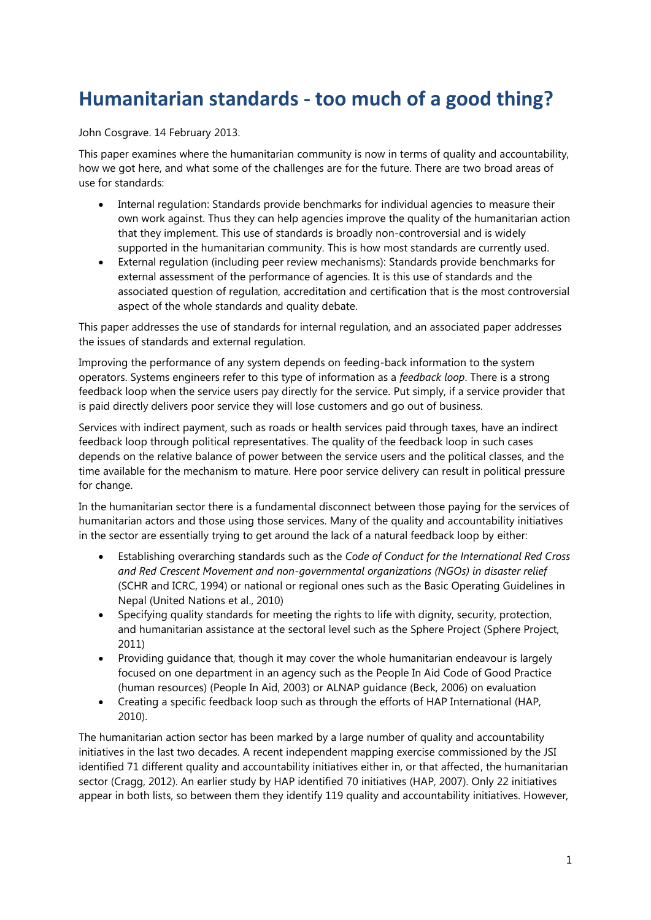# **Humanitarian standards - too much of a good thing?**

John Cosgrave. 14 February 2013.

This paper examines where the humanitarian community is now in terms of quality and accountability, how we got here, and what some of the challenges are for the future. There are two broad areas of use for standards:

- Internal regulation: Standards provide benchmarks for individual agencies to measure their own work against. Thus they can help agencies improve the quality of the humanitarian action that they implement. This use of standards is broadly non-controversial and is widely supported in the humanitarian community. This is how most standards are currently used.
- External regulation (including peer review mechanisms): Standards provide benchmarks for external assessment of the performance of agencies. It is this use of standards and the associated question of regulation, accreditation and certification that is the most controversial aspect of the whole standards and quality debate.

This paper addresses the use of standards for internal regulation, and an associated paper addresses the issues of standards and external regulation.

Improving the performance of any system depends on feeding-back information to the system operators. Systems engineers refer to this type of information as a *feedback loop*. There is a strong feedback loop when the service users pay directly for the service. Put simply, if a service provider that is paid directly delivers poor service they will lose customers and go out of business.

Services with indirect payment, such as roads or health services paid through taxes, have an indirect feedback loop through political representatives. The quality of the feedback loop in such cases depends on the relative balance of power between the service users and the political classes, and the time available for the mechanism to mature. Here poor service delivery can result in political pressure for change.

In the humanitarian sector there is a fundamental disconnect between those paying for the services of humanitarian actors and those using those services. Many of the quality and accountability initiatives in the sector are essentially trying to get around the lack of a natural feedback loop by either:

- Establishing overarching standards such as the *Code of Conduct for the International Red Cross and Red Crescent Movement and non-governmental organizations (NGOs) in disaster relief* [\(SCHR and ICRC, 1994\)](#page-8-0) or national or regional ones such as the Basic Operating Guidelines in Nepal [\(United Nations et al., 2010\)](#page-9-0)
- Specifying quality standards for meeting the rights to life with dignity, security, protection, and humanitarian assistance at the sectoral level such as the Sphere Project [\(Sphere Project,](#page-9-1)  [2011\)](#page-9-1)
- Providing guidance that, though it may cover the whole humanitarian endeavour is largely focused on one department in an agency such as the People In Aid Code of Good Practice (human resources) [\(People In Aid, 2003\)](#page-8-1) or ALNAP guidance [\(Beck, 2006\)](#page-7-0) on evaluation
- Creating a specific feedback loop such as through the efforts of HAP International [\(HAP,](#page-7-1)  [2010\)](#page-7-1).

The humanitarian action sector has been marked by a large number of quality and accountability initiatives in the last two decades. A recent independent mapping exercise commissioned by the JSI identified 71 different quality and accountability initiatives either in, or that affected, the humanitarian sector [\(Cragg, 2012\)](#page-7-2). An earlier study by HAP identified 70 initiatives [\(HAP, 2007\)](#page-7-3). Only 22 initiatives appear in both lists, so between them they identify 119 quality and accountability initiatives. However,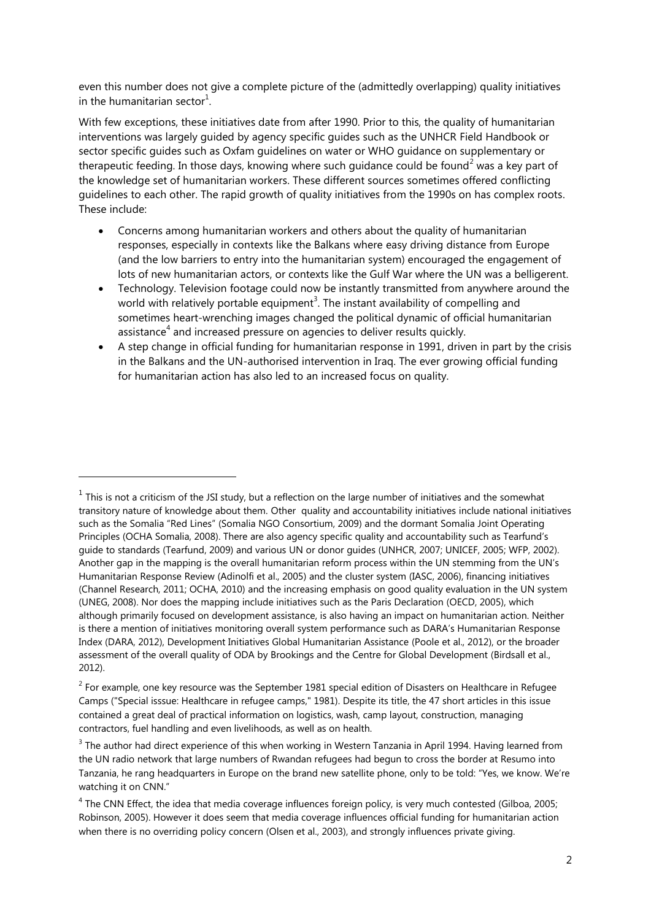even this number does not give a complete picture of the (admittedly overlapping) quality initiatives in the humanitarian sector $^1$ .

With few exceptions, these initiatives date from after 1990. Prior to this, the quality of humanitarian interventions was largely guided by agency specific guides such as the UNHCR Field Handbook or sector specific guides such as Oxfam guidelines on water or WHO guidance on supplementary or therapeutic feeding. In those days, knowing where such guidance could be found<sup>2</sup> was a key part of the knowledge set of humanitarian workers. These different sources sometimes offered conflicting guidelines to each other. The rapid growth of quality initiatives from the 1990s on has complex roots. These include:

- Concerns among humanitarian workers and others about the quality of humanitarian responses, especially in contexts like the Balkans where easy driving distance from Europe (and the low barriers to entry into the humanitarian system) encouraged the engagement of lots of new humanitarian actors, or contexts like the Gulf War where the UN was a belligerent.
- Technology. Television footage could now be instantly transmitted from anywhere around the world with relatively portable equipment<sup>3</sup>. The instant availability of compelling and sometimes heart-wrenching images changed the political dynamic of official humanitarian assistance<sup>4</sup> and increased pressure on agencies to deliver results quickly.
- A step change in official funding for humanitarian response in 1991, driven in part by the crisis in the Balkans and the UN-authorised intervention in Iraq. The ever growing official funding for humanitarian action has also led to an increased focus on quality.

-

 $<sup>1</sup>$  This is not a criticism of the JSI study, but a reflection on the large number of initiatives and the somewhat</sup> transitory nature of knowledge about them. Other quality and accountability initiatives include national initiatives such as the Somalia "Red Lines" [\(Somalia NGO Consortium, 2009\)](#page-8-2) and the dormant Somalia Joint Operating Principles [\(OCHA Somalia, 2008\)](#page-8-3). There are also agency specific quality and accountability such as Tearfund"s guide to standards [\(Tearfund, 2009\)](#page-9-2) and various UN or donor guides [\(UNHCR, 2007;](#page-9-3) [UNICEF, 2005;](#page-9-4) [WFP, 2002\)](#page-9-5). Another gap in the mapping is the overall humanitarian reform process within the UN stemming from the UN"s Humanitarian Response Review [\(Adinolfi et al., 2005\)](#page-7-4) and the cluster system [\(IASC, 2006\)](#page-7-5), financing initiatives [\(Channel Research, 2011;](#page-7-6) [OCHA, 2010\)](#page-8-4) and the increasing emphasis on good quality evaluation in the UN system [\(UNEG, 2008\)](#page-9-6). Nor does the mapping include initiatives such as the Paris Declaration [\(OECD, 2005\)](#page-8-5), which although primarily focused on development assistance, is also having an impact on humanitarian action. Neither is there a mention of initiatives monitoring overall system performance such as DARA"s Humanitarian Response Index [\(DARA, 2012\)](#page-7-7), Development Initiatives Global Humanitarian Assistance [\(Poole et al., 2012\)](#page-8-6), or the broader assessment of the overall quality of ODA by Brookings and the Centre for Global Development [\(Birdsall et al.,](#page-7-8)  [2012\)](#page-7-8).

 $2$  For example, one key resource was the September 1981 special edition of Disasters on Healthcare in Refugee Camps [\("Special isssue: Healthcare in refugee camps," 1981\)](#page-8-7). Despite its title, the 47 short articles in this issue contained a great deal of practical information on logistics, wash, camp layout, construction, managing contractors, fuel handling and even livelihoods, as well as on health.

<sup>&</sup>lt;sup>3</sup> The author had direct experience of this when working in Western Tanzania in April 1994. Having learned from the UN radio network that large numbers of Rwandan refugees had begun to cross the border at Resumo into Tanzania, he rang headquarters in Europe on the brand new satellite phone, only to be told: "Yes, we know. We"re watching it on CNN."

 $4$  The CNN Effect, the idea that media coverage influences foreign policy, is very much contested [\(Gilboa, 2005;](#page-7-9) [Robinson, 2005\)](#page-8-8). However it does seem that media coverage influences official funding for humanitarian action when there is no overriding policy concern [\(Olsen et al., 2003\)](#page-8-9), and strongly influences private giving.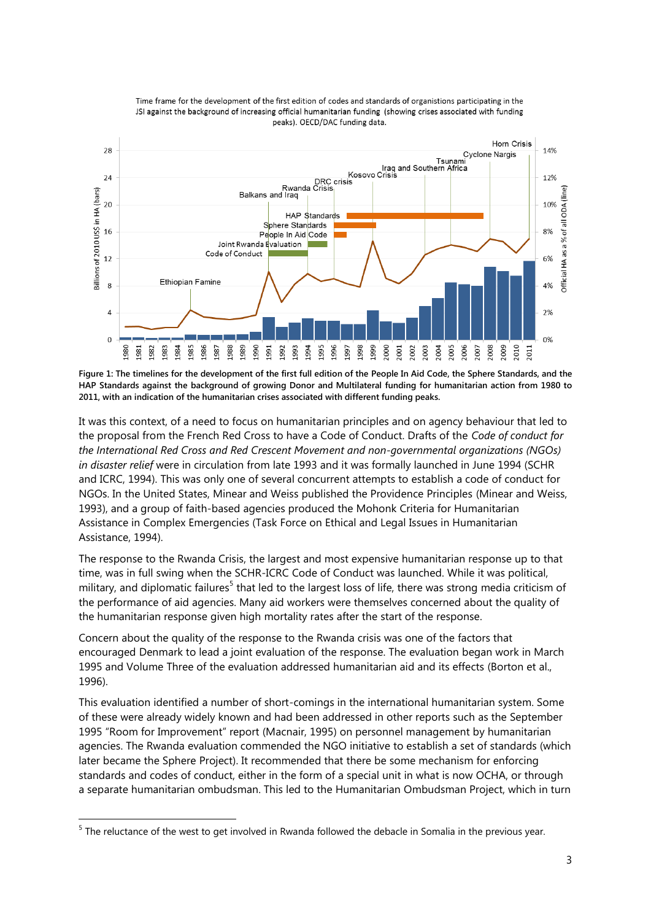

Time frame for the development of the first edition of codes and standards of organistions participating in the JSI against the background of increasing official humanitarian funding (showing crises associated with funding peaks). OECD/DAC funding data.

**Figure 1: The timelines for the development of the first full edition of the People In Aid Code, the Sphere Standards, and the HAP Standards against the background of growing Donor and Multilateral funding for humanitarian action from 1980 to 2011, with an indication of the humanitarian crises associated with different funding peaks.**

It was this context, of a need to focus on humanitarian principles and on agency behaviour that led to the proposal from the French Red Cross to have a Code of Conduct. Drafts of the *Code of conduct for the International Red Cross and Red Crescent Movement and non-governmental organizations (NGOs) in disaster relief* were in circulation from late 1993 and it was formally launched in June 1994 [\(SCHR](#page-8-0)  [and ICRC, 1994\)](#page-8-0). This was only one of several concurrent attempts to establish a code of conduct for NGOs. In the United States, Minear and Weiss published the Providence Principles [\(Minear and Weiss,](#page-8-10)  [1993\)](#page-8-10), and a group of faith-based agencies produced the Mohonk Criteria for Humanitarian Assistance in Complex Emergencies [\(Task Force on Ethical and Legal Issues in Humanitarian](#page-9-7)  [Assistance, 1994\)](#page-9-7).

The response to the Rwanda Crisis, the largest and most expensive humanitarian response up to that time, was in full swing when the SCHR-ICRC Code of Conduct was launched. While it was political, military, and diplomatic failures<sup>5</sup> that led to the largest loss of life, there was strong media criticism of the performance of aid agencies. Many aid workers were themselves concerned about the quality of the humanitarian response given high mortality rates after the start of the response.

Concern about the quality of the response to the Rwanda crisis was one of the factors that encouraged Denmark to lead a joint evaluation of the response. The evaluation began work in March 1995 and Volume Three of the evaluation addressed humanitarian aid and its effects [\(Borton et al.,](#page-7-10)  [1996\)](#page-7-10).

This evaluation identified a number of short-comings in the international humanitarian system. Some of these were already widely known and had been addressed in other reports such as the September 1995 "Room for Improvement" report [\(Macnair, 1995\)](#page-8-11) on personnel management by humanitarian agencies. The Rwanda evaluation commended the NGO initiative to establish a set of standards (which later became the Sphere Project). It recommended that there be some mechanism for enforcing standards and codes of conduct, either in the form of a special unit in what is now OCHA, or through a separate humanitarian ombudsman. This led to the Humanitarian Ombudsman Project, which in turn

-

<sup>&</sup>lt;sup>5</sup> The reluctance of the west to get involved in Rwanda followed the debacle in Somalia in the previous year.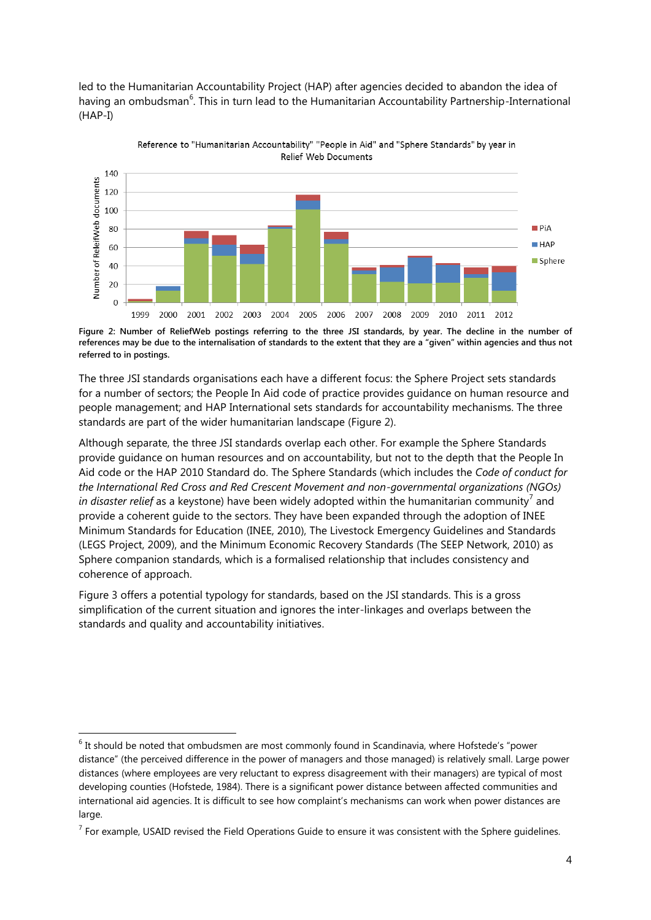led to the Humanitarian Accountability Project (HAP) after agencies decided to abandon the idea of having an ombudsman<sup>6</sup>. This in turn lead to the Humanitarian Accountability Partnership-International (HAP-I)



Reference to "Humanitarian Accountability" "People in Aid" and "Sphere Standards" by year in Relief Web Documents

<span id="page-3-0"></span>**Figure 2: Number of ReliefWeb postings referring to the three JSI standards, by year. The decline in the number of references may be due to the internalisation of standards to the extent that they are a "given" within agencies and thus not referred to in postings.**

The three JSI standards organisations each have a different focus: the Sphere Project sets standards for a number of sectors; the People In Aid code of practice provides guidance on human resource and people management; and HAP International sets standards for accountability mechanisms. The three standards are part of the wider humanitarian landscape [\(Figure 2\)](#page-3-0).

Although separate, the three JSI standards overlap each other. For example the Sphere Standards provide guidance on human resources and on accountability, but not to the depth that the People In Aid code or the HAP 2010 Standard do. The Sphere Standards (which includes the *Code of conduct for the International Red Cross and Red Crescent Movement and non-governmental organizations (NGOs) in disaster relief* as a keystone) have been widely adopted within the humanitarian community<sup>7</sup> and provide a coherent guide to the sectors. They have been expanded through the adoption of INEE Minimum Standards for Education [\(INEE, 2010\)](#page-8-12), The Livestock Emergency Guidelines and Standards [\(LEGS Project, 2009\)](#page-8-13), and the Minimum Economic Recovery Standards [\(The SEEP Network, 2010\)](#page-9-8) as Sphere companion standards, which is a formalised relationship that includes consistency and coherence of approach.

[Figure 3](#page-4-0) offers a potential typology for standards, based on the JSI standards. This is a gross simplification of the current situation and ignores the inter-linkages and overlaps between the standards and quality and accountability initiatives.

-

 $6$  It should be noted that ombudsmen are most commonly found in Scandinavia, where Hofstede's "power distance" (the perceived difference in the power of managers and those managed) is relatively small. Large power distances (where employees are very reluctant to express disagreement with their managers) are typical of most developing counties [\(Hofstede, 1984\)](#page-7-11). There is a significant power distance between affected communities and international aid agencies. It is difficult to see how complaint's mechanisms can work when power distances are large.

 $<sup>7</sup>$  For example, USAID revised the Field Operations Guide to ensure it was consistent with the Sphere guidelines.</sup>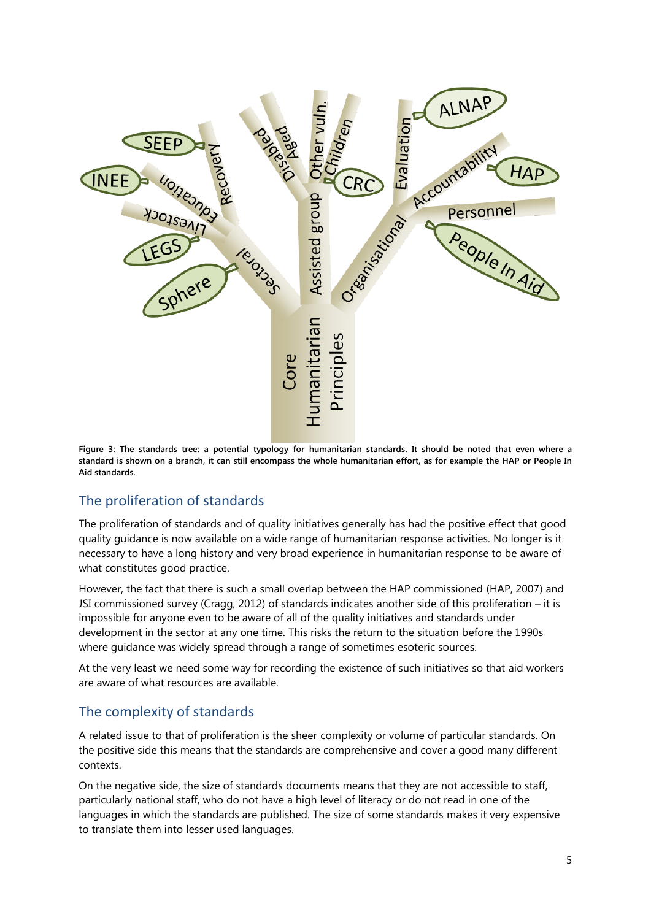

<span id="page-4-0"></span>**Figure 3: The standards tree: a potential typology for humanitarian standards. It should be noted that even where a standard is shown on a branch, it can still encompass the whole humanitarian effort, as for example the HAP or People In Aid standards.**

## The proliferation of standards

The proliferation of standards and of quality initiatives generally has had the positive effect that good quality guidance is now available on a wide range of humanitarian response activities. No longer is it necessary to have a long history and very broad experience in humanitarian response to be aware of what constitutes good practice.

However, the fact that there is such a small overlap between the HAP commissioned [\(HAP, 2007\)](#page-7-3) and JSI commissioned survey [\(Cragg, 2012\)](#page-7-2) of standards indicates another side of this proliferation – it is impossible for anyone even to be aware of all of the quality initiatives and standards under development in the sector at any one time. This risks the return to the situation before the 1990s where guidance was widely spread through a range of sometimes esoteric sources.

At the very least we need some way for recording the existence of such initiatives so that aid workers are aware of what resources are available.

## The complexity of standards

A related issue to that of proliferation is the sheer complexity or volume of particular standards. On the positive side this means that the standards are comprehensive and cover a good many different contexts.

On the negative side, the size of standards documents means that they are not accessible to staff, particularly national staff, who do not have a high level of literacy or do not read in one of the languages in which the standards are published. The size of some standards makes it very expensive to translate them into lesser used languages.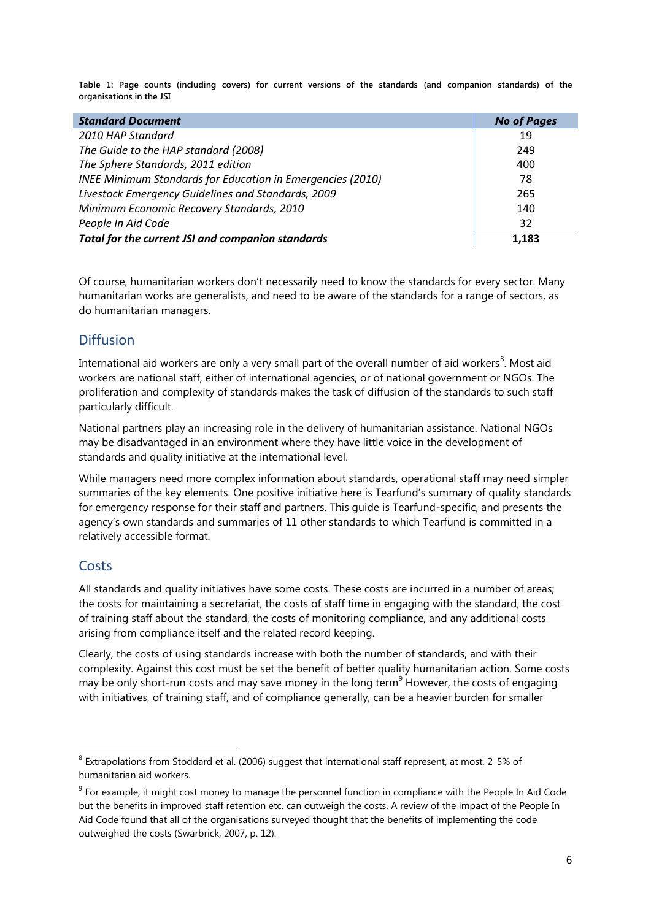**Table 1: Page counts (including covers) for current versions of the standards (and companion standards) of the organisations in the JSI**

| <b>Standard Document</b>                                   | <b>No of Pages</b> |
|------------------------------------------------------------|--------------------|
| 2010 HAP Standard                                          | 19                 |
| The Guide to the HAP standard (2008)                       | 249                |
| The Sphere Standards, 2011 edition                         | 400                |
| INEE Minimum Standards for Education in Emergencies (2010) | 78                 |
| Livestock Emergency Guidelines and Standards, 2009         | 265                |
| Minimum Economic Recovery Standards, 2010                  | 140                |
| People In Aid Code                                         | 32                 |
| Total for the current JSI and companion standards          | 1.183              |

Of course, humanitarian workers don"t necessarily need to know the standards for every sector. Many humanitarian works are generalists, and need to be aware of the standards for a range of sectors, as do humanitarian managers.

### **Diffusion**

International aid workers are only a very small part of the overall number of aid workers<sup>8</sup>. Most aid workers are national staff, either of international agencies, or of national government or NGOs. The proliferation and complexity of standards makes the task of diffusion of the standards to such staff particularly difficult.

National partners play an increasing role in the delivery of humanitarian assistance. National NGOs may be disadvantaged in an environment where they have little voice in the development of standards and quality initiative at the international level.

While managers need more complex information about standards, operational staff may need simpler summaries of the key elements. One positive initiative here is Tearfund's summary of quality standards for emergency response for their staff and partners. This guide is Tearfund-specific, and presents the agency's own standards and summaries of 11 other standards to which Tearfund is committed in a relatively accessible format.

## **Costs**

 $\overline{a}$ 

All standards and quality initiatives have some costs. These costs are incurred in a number of areas; the costs for maintaining a secretariat, the costs of staff time in engaging with the standard, the cost of training staff about the standard, the costs of monitoring compliance, and any additional costs arising from compliance itself and the related record keeping.

Clearly, the costs of using standards increase with both the number of standards, and with their complexity. Against this cost must be set the benefit of better quality humanitarian action. Some costs may be only short-run costs and may save money in the long term<sup>9</sup> However, the costs of engaging with initiatives, of training staff, and of compliance generally, can be a heavier burden for smaller

 $8$  Extrapolations from [Stoddard et al. \(2006\)](#page-9-9) suggest that international staff represent, at most, 2-5% of humanitarian aid workers.

 $9$  For example, it might cost money to manage the personnel function in compliance with the People In Aid Code but the benefits in improved staff retention etc. can outweigh the costs. A review of the impact of the People In Aid Code found that all of the organisations surveyed thought that the benefits of implementing the code outweighed the costs [\(Swarbrick, 2007, p. 12\)](#page-9-10).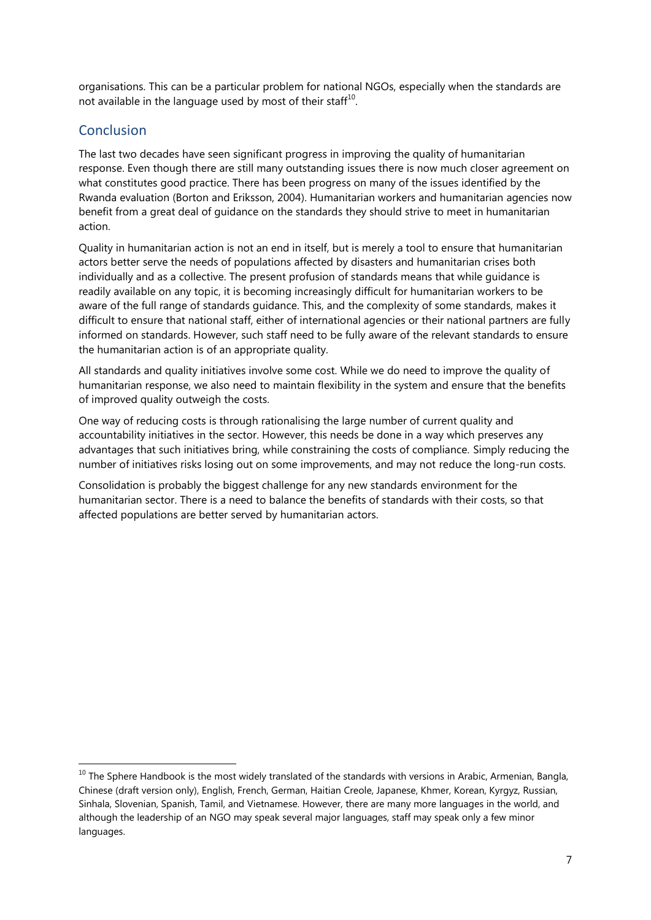organisations. This can be a particular problem for national NGOs, especially when the standards are not available in the language used by most of their staff $^{10}$ .

## Conclusion

-

The last two decades have seen significant progress in improving the quality of humanitarian response. Even though there are still many outstanding issues there is now much closer agreement on what constitutes good practice. There has been progress on many of the issues identified by the Rwanda evaluation [\(Borton and Eriksson, 2004\)](#page-7-12). Humanitarian workers and humanitarian agencies now benefit from a great deal of guidance on the standards they should strive to meet in humanitarian action.

Quality in humanitarian action is not an end in itself, but is merely a tool to ensure that humanitarian actors better serve the needs of populations affected by disasters and humanitarian crises both individually and as a collective. The present profusion of standards means that while guidance is readily available on any topic, it is becoming increasingly difficult for humanitarian workers to be aware of the full range of standards guidance. This, and the complexity of some standards, makes it difficult to ensure that national staff, either of international agencies or their national partners are fully informed on standards. However, such staff need to be fully aware of the relevant standards to ensure the humanitarian action is of an appropriate quality.

All standards and quality initiatives involve some cost. While we do need to improve the quality of humanitarian response, we also need to maintain flexibility in the system and ensure that the benefits of improved quality outweigh the costs.

One way of reducing costs is through rationalising the large number of current quality and accountability initiatives in the sector. However, this needs be done in a way which preserves any advantages that such initiatives bring, while constraining the costs of compliance. Simply reducing the number of initiatives risks losing out on some improvements, and may not reduce the long-run costs.

Consolidation is probably the biggest challenge for any new standards environment for the humanitarian sector. There is a need to balance the benefits of standards with their costs, so that affected populations are better served by humanitarian actors.

 $10$  The Sphere Handbook is the most widely translated of the standards with versions in Arabic, Armenian, Bangla, Chinese (draft version only), English, French, German, Haitian Creole, Japanese, Khmer, Korean, Kyrgyz, Russian, Sinhala, Slovenian, Spanish, Tamil, and Vietnamese. However, there are many more languages in the world, and although the leadership of an NGO may speak several major languages, staff may speak only a few minor languages.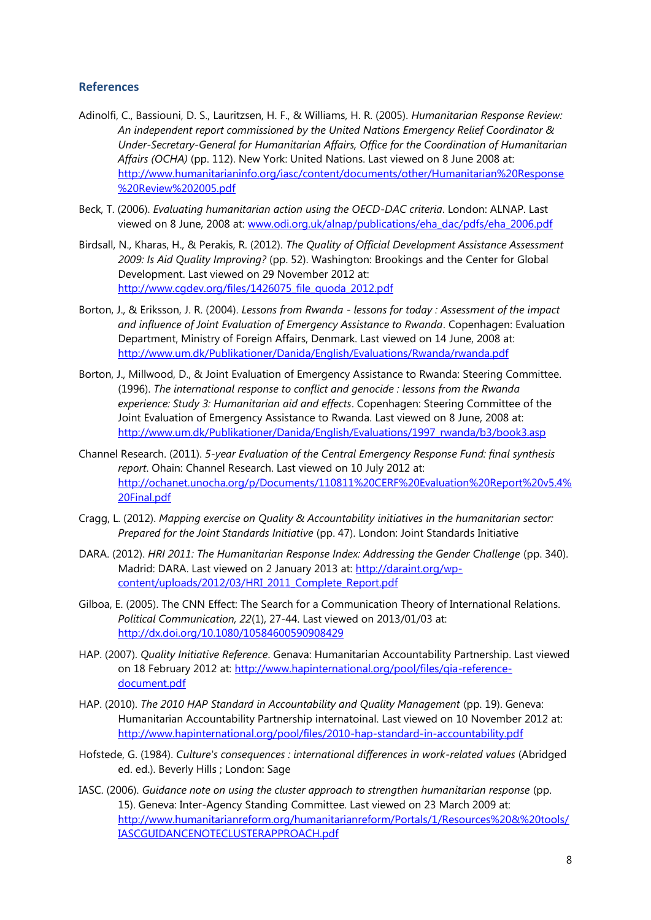#### **References**

- <span id="page-7-4"></span>Adinolfi, C., Bassiouni, D. S., Lauritzsen, H. F., & Williams, H. R. (2005). *Humanitarian Response Review: An independent report commissioned by the United Nations Emergency Relief Coordinator & Under-Secretary-General for Humanitarian Affairs, Office for the Coordination of Humanitarian Affairs (OCHA)* (pp. 112). New York: United Nations. Last viewed on 8 June 2008 at: [http://www.humanitarianinfo.org/iasc/content/documents/other/Humanitarian%20Response](http://www.humanitarianinfo.org/iasc/content/documents/other/Humanitarian%20Response%20Review%202005.pdf) [%20Review%202005.pdf](http://www.humanitarianinfo.org/iasc/content/documents/other/Humanitarian%20Response%20Review%202005.pdf)
- <span id="page-7-0"></span>Beck, T. (2006). *Evaluating humanitarian action using the OECD-DAC criteria*. London: ALNAP. Last viewed on 8 June, 2008 at: [www.odi.org.uk/alnap/publications/eha\\_dac/pdfs/eha\\_2006.pdf](http://www.odi.org.uk/alnap/publications/eha_dac/pdfs/eha_2006.pdf)
- <span id="page-7-8"></span>Birdsall, N., Kharas, H., & Perakis, R. (2012). *The Quality of Official Development Assistance Assessment 2009: Is Aid Quality Improving?* (pp. 52). Washington: Brookings and the Center for Global Development. Last viewed on 29 November 2012 at: [http://www.cgdev.org/files/1426075\\_file\\_quoda\\_2012.pdf](http://www.cgdev.org/files/1426075_file_quoda_2012.pdf)
- <span id="page-7-12"></span>Borton, J., & Eriksson, J. R. (2004). *Lessons from Rwanda - lessons for today : Assessment of the impact and influence of Joint Evaluation of Emergency Assistance to Rwanda*. Copenhagen: Evaluation Department, Ministry of Foreign Affairs, Denmark. Last viewed on 14 June, 2008 at: <http://www.um.dk/Publikationer/Danida/English/Evaluations/Rwanda/rwanda.pdf>
- <span id="page-7-10"></span>Borton, J., Millwood, D., & Joint Evaluation of Emergency Assistance to Rwanda: Steering Committee. (1996). *The international response to conflict and genocide : lessons from the Rwanda experience: Study 3: Humanitarian aid and effects*. Copenhagen: Steering Committee of the Joint Evaluation of Emergency Assistance to Rwanda. Last viewed on 8 June, 2008 at: [http://www.um.dk/Publikationer/Danida/English/Evaluations/1997\\_rwanda/b3/book3.asp](http://www.um.dk/Publikationer/Danida/English/Evaluations/1997_rwanda/b3/book3.asp)
- <span id="page-7-6"></span>Channel Research. (2011). *5-year Evaluation of the Central Emergency Response Fund: final synthesis report*. Ohain: Channel Research. Last viewed on 10 July 2012 at: [http://ochanet.unocha.org/p/Documents/110811%20CERF%20Evaluation%20Report%20v5.4%](http://ochanet.unocha.org/p/Documents/110811%20CERF%20Evaluation%20Report%20v5.4%20Final.pdf) [20Final.pdf](http://ochanet.unocha.org/p/Documents/110811%20CERF%20Evaluation%20Report%20v5.4%20Final.pdf)
- <span id="page-7-2"></span>Cragg, L. (2012). *Mapping exercise on Quality & Accountability initiatives in the humanitarian sector: Prepared for the Joint Standards Initiative* (pp. 47). London: Joint Standards Initiative
- <span id="page-7-7"></span>DARA. (2012). *HRI 2011: The Humanitarian Response Index: Addressing the Gender Challenge* (pp. 340). Madrid: DARA. Last viewed on 2 January 2013 at: [http://daraint.org/wp](http://daraint.org/wp-content/uploads/2012/03/HRI_2011_Complete_Report.pdf)[content/uploads/2012/03/HRI\\_2011\\_Complete\\_Report.pdf](http://daraint.org/wp-content/uploads/2012/03/HRI_2011_Complete_Report.pdf)
- <span id="page-7-9"></span>Gilboa, E. (2005). The CNN Effect: The Search for a Communication Theory of International Relations. *Political Communication, 22*(1), 27-44. Last viewed on 2013/01/03 at: <http://dx.doi.org/10.1080/10584600590908429>
- <span id="page-7-3"></span>HAP. (2007). *Quality Initiative Reference*. Genava: Humanitarian Accountability Partnership. Last viewed on 18 February 2012 at: [http://www.hapinternational.org/pool/files/qia-reference](http://www.hapinternational.org/pool/files/qia-reference-document.pdf)[document.pdf](http://www.hapinternational.org/pool/files/qia-reference-document.pdf)
- <span id="page-7-1"></span>HAP. (2010). *The 2010 HAP Standard in Accountability and Quality Management* (pp. 19). Geneva: Humanitarian Accountability Partnership internatoinal. Last viewed on 10 November 2012 at: <http://www.hapinternational.org/pool/files/2010-hap-standard-in-accountability.pdf>
- <span id="page-7-11"></span>Hofstede, G. (1984). *Culture's consequences : international differences in work-related values* (Abridged ed. ed.). Beverly Hills ; London: Sage
- <span id="page-7-5"></span>IASC. (2006). *Guidance note on using the cluster approach to strengthen humanitarian response* (pp. 15). Geneva: Inter-Agency Standing Committee. Last viewed on 23 March 2009 at: [http://www.humanitarianreform.org/humanitarianreform/Portals/1/Resources%20&%20tools/](http://www.humanitarianreform.org/humanitarianreform/Portals/1/Resources%20&%20tools/IASCGUIDANCENOTECLUSTERAPPROACH.pdf) [IASCGUIDANCENOTECLUSTERAPPROACH.pdf](http://www.humanitarianreform.org/humanitarianreform/Portals/1/Resources%20&%20tools/IASCGUIDANCENOTECLUSTERAPPROACH.pdf)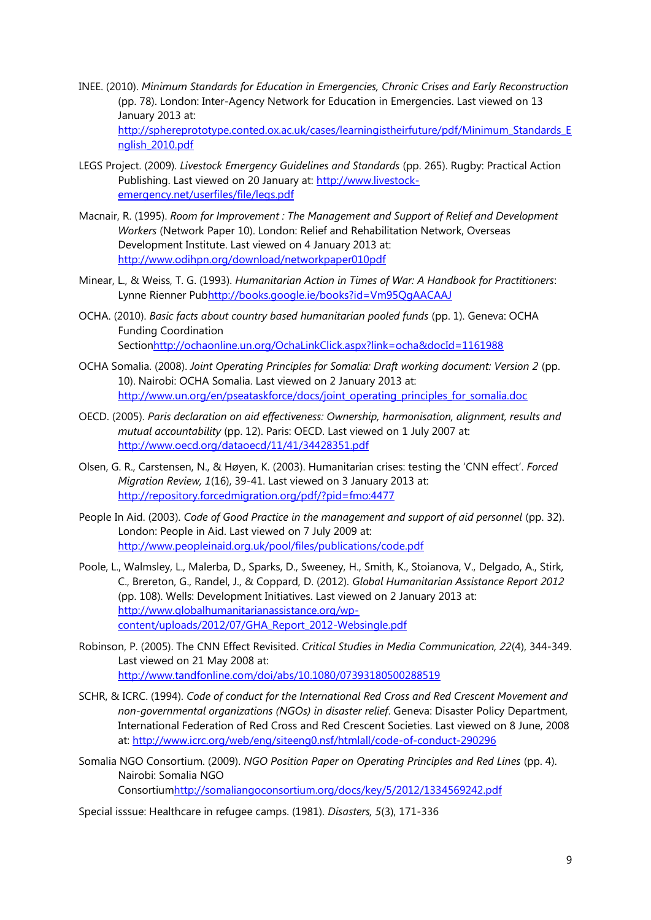<span id="page-8-12"></span>INEE. (2010). *Minimum Standards for Education in Emergencies, Chronic Crises and Early Reconstruction* (pp. 78). London: Inter-Agency Network for Education in Emergencies. Last viewed on 13 January 2013 at: [http://sphereprototype.conted.ox.ac.uk/cases/learningistheirfuture/pdf/Minimum\\_Standards\\_E](http://sphereprototype.conted.ox.ac.uk/cases/learningistheirfuture/pdf/Minimum_Standards_English_2010.pdf)

[nglish\\_2010.pdf](http://sphereprototype.conted.ox.ac.uk/cases/learningistheirfuture/pdf/Minimum_Standards_English_2010.pdf)

- <span id="page-8-13"></span>LEGS Project. (2009). *Livestock Emergency Guidelines and Standards* (pp. 265). Rugby: Practical Action Publishing. Last viewed on 20 January at: [http://www.livestock](http://www.livestock-emergency.net/userfiles/file/legs.pdf)[emergency.net/userfiles/file/legs.pdf](http://www.livestock-emergency.net/userfiles/file/legs.pdf)
- <span id="page-8-11"></span>Macnair, R. (1995). *Room for Improvement : The Management and Support of Relief and Development Workers* (Network Paper 10). London: Relief and Rehabilitation Network, Overseas Development Institute. Last viewed on 4 January 2013 at: <http://www.odihpn.org/download/networkpaper010pdf>
- <span id="page-8-10"></span>Minear, L., & Weiss, T. G. (1993). *Humanitarian Action in Times of War: A Handbook for Practitioners*: Lynne Rienner Pu[bhttp://books.google.ie/books?id=Vm95QgAACAAJ](http://books.google.ie/books?id=Vm95QgAACAAJ)
- <span id="page-8-4"></span>OCHA. (2010). *Basic facts about country based humanitarian pooled funds* (pp. 1). Geneva: OCHA Funding Coordination Sectio[nhttp://ochaonline.un.org/OchaLinkClick.aspx?link=ocha&docId=1161988](http://ochaonline.un.org/OchaLinkClick.aspx?link=ocha&docId=1161988)
- <span id="page-8-3"></span>OCHA Somalia. (2008). *Joint Operating Principles for Somalia: Draft working document: Version 2* (pp. 10). Nairobi: OCHA Somalia. Last viewed on 2 January 2013 at: [http://www.un.org/en/pseataskforce/docs/joint\\_operating\\_principles\\_for\\_somalia.doc](http://www.un.org/en/pseataskforce/docs/joint_operating_principles_for_somalia.doc)
- <span id="page-8-5"></span>OECD. (2005). *Paris declaration on aid effectiveness: Ownership, harmonisation, alignment, results and mutual accountability* (pp. 12). Paris: OECD. Last viewed on 1 July 2007 at: <http://www.oecd.org/dataoecd/11/41/34428351.pdf>
- <span id="page-8-9"></span>Olsen, G. R., Carstensen, N., & Høyen, K. (2003). Humanitarian crises: testing the "CNN effect". *Forced Migration Review, 1*(16), 39-41. Last viewed on 3 January 2013 at: <http://repository.forcedmigration.org/pdf/?pid=fmo:4477>
- <span id="page-8-1"></span>People In Aid. (2003). *Code of Good Practice in the management and support of aid personnel* (pp. 32). London: People in Aid. Last viewed on 7 July 2009 at: <http://www.peopleinaid.org.uk/pool/files/publications/code.pdf>
- <span id="page-8-6"></span>Poole, L., Walmsley, L., Malerba, D., Sparks, D., Sweeney, H., Smith, K., Stoianova, V., Delgado, A., Stirk, C., Brereton, G., Randel, J., & Coppard, D. (2012). *Global Humanitarian Assistance Report 2012* (pp. 108). Wells: Development Initiatives. Last viewed on 2 January 2013 at: [http://www.globalhumanitarianassistance.org/wp](http://www.globalhumanitarianassistance.org/wp-content/uploads/2012/07/GHA_Report_2012-Websingle.pdf)[content/uploads/2012/07/GHA\\_Report\\_2012-Websingle.pdf](http://www.globalhumanitarianassistance.org/wp-content/uploads/2012/07/GHA_Report_2012-Websingle.pdf)
- <span id="page-8-8"></span>Robinson, P. (2005). The CNN Effect Revisited. *Critical Studies in Media Communication, 22*(4), 344-349. Last viewed on 21 May 2008 at: <http://www.tandfonline.com/doi/abs/10.1080/07393180500288519>
- <span id="page-8-0"></span>SCHR, & ICRC. (1994). *Code of conduct for the International Red Cross and Red Crescent Movement and non-governmental organizations (NGOs) in disaster relief*. Geneva: Disaster Policy Department, International Federation of Red Cross and Red Crescent Societies. Last viewed on 8 June, 2008 at:<http://www.icrc.org/web/eng/siteeng0.nsf/htmlall/code-of-conduct-290296>
- <span id="page-8-2"></span>Somalia NGO Consortium. (2009). *NGO Position Paper on Operating Principles and Red Lines* (pp. 4). Nairobi: Somalia NGO Consortiu[mhttp://somaliangoconsortium.org/docs/key/5/2012/1334569242.pdf](http://somaliangoconsortium.org/docs/key/5/2012/1334569242.pdf)

<span id="page-8-7"></span>Special isssue: Healthcare in refugee camps. (1981). *Disasters, 5*(3), 171-336